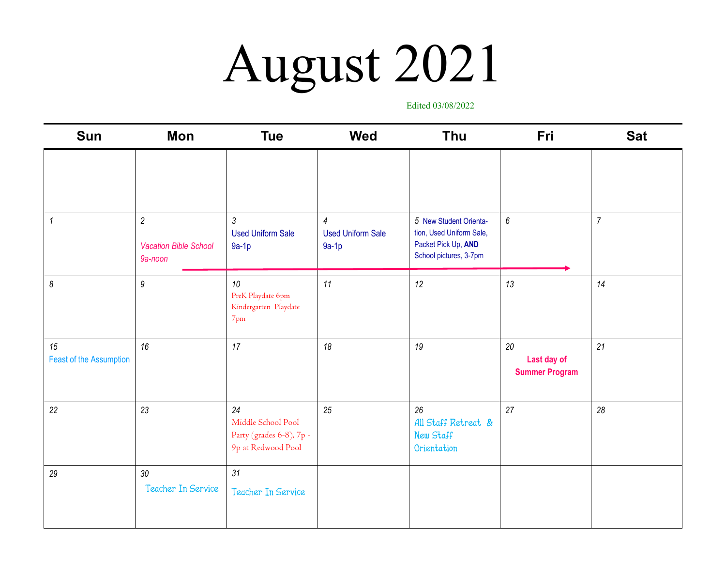### August 2021

Edited 03/08/2022

| <b>Sun</b>                    | Mon                                                       | <b>Tue</b>                                                                 | <b>Wed</b>                                            | <b>Thu</b>                                                                                          | Fri                                        | <b>Sat</b>     |
|-------------------------------|-----------------------------------------------------------|----------------------------------------------------------------------------|-------------------------------------------------------|-----------------------------------------------------------------------------------------------------|--------------------------------------------|----------------|
|                               |                                                           |                                                                            |                                                       |                                                                                                     |                                            |                |
| $\boldsymbol{\mathcal{L}}$    | $\overline{2}$<br><b>Vacation Bible School</b><br>9a-noon | $\sqrt{3}$<br><b>Used Uniform Sale</b><br>$9a-1p$                          | $\overline{4}$<br><b>Used Uniform Sale</b><br>$9a-1p$ | 5 New Student Orienta-<br>tion, Used Uniform Sale,<br>Packet Pick Up, AND<br>School pictures, 3-7pm | $\boldsymbol{6}$                           | $\overline{7}$ |
| $\boldsymbol{\delta}$         | $\boldsymbol{9}$                                          | 10<br>PreK Playdate 6pm<br>Kindergarten Playdate<br>$7$ pm                 | 11                                                    | 12                                                                                                  | 13                                         | 14             |
| 15<br>Feast of the Assumption | 16                                                        | 17                                                                         | 18                                                    | 19                                                                                                  | 20<br>Last day of<br><b>Summer Program</b> | 21             |
| 22                            | 23                                                        | 24<br>Middle School Pool<br>Party (grades 6-8), 7p -<br>9p at Redwood Pool | 25                                                    | 26<br>All Staff Retreat &<br>New Staff<br>Orientation                                               | 27                                         | 28             |
| 29                            | 30<br>Teacher In Service                                  | 31<br>Teacher In Service                                                   |                                                       |                                                                                                     |                                            |                |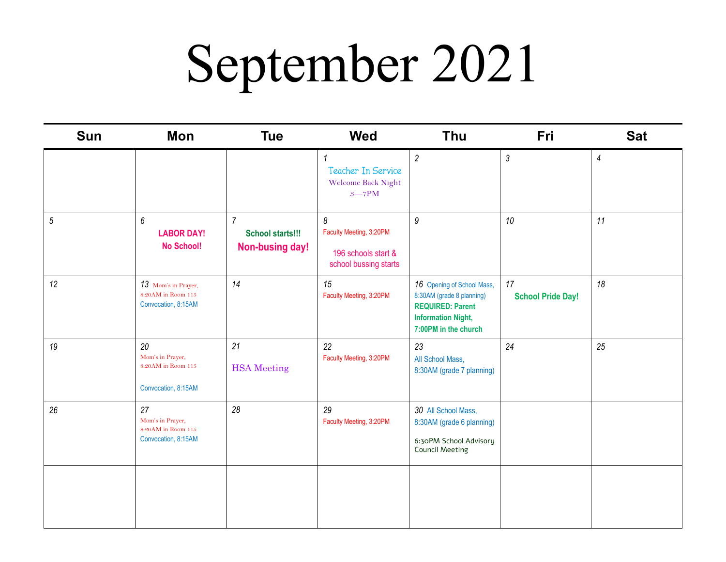### September 2021

| <b>Sun</b> | Mon                                                                  | <b>Tue</b>                                            | <b>Wed</b>                                                                   | <b>Thu</b>                                                                                                                              | Fri                            | <b>Sat</b>     |
|------------|----------------------------------------------------------------------|-------------------------------------------------------|------------------------------------------------------------------------------|-----------------------------------------------------------------------------------------------------------------------------------------|--------------------------------|----------------|
|            |                                                                      |                                                       | Teacher In Service<br>Welcome Back Night<br>$3 - 7$ PM                       | $\overline{c}$                                                                                                                          | $\mathfrak{Z}$                 | $\overline{4}$ |
| $\sqrt{5}$ | 6<br><b>LABOR DAY!</b><br><b>No School!</b>                          | $\overline{7}$<br>School starts!!!<br>Non-busing day! | 8<br>Faculty Meeting, 3:20PM<br>196 schools start &<br>school bussing starts | $\boldsymbol{9}$                                                                                                                        | 10                             | 11             |
| 12         | 13 Mom's in Prayer,<br>$8:20AM$ in Room $115$<br>Convocation, 8:15AM | 14                                                    | 15<br>Faculty Meeting, 3:20PM                                                | 16 Opening of School Mass,<br>8:30AM (grade 8 planning)<br><b>REQUIRED: Parent</b><br><b>Information Night,</b><br>7:00PM in the church | 17<br><b>School Pride Day!</b> | 18             |
| 19         | 20<br>Mom's in Prayer,<br>8:20AM in Room 115<br>Convocation, 8:15AM  | 21<br><b>HSA</b> Meeting                              | 22<br>Faculty Meeting, 3:20PM                                                | 23<br>All School Mass,<br>8:30AM (grade 7 planning)                                                                                     | 24                             | 25             |
| 26         | 27<br>Mom's in Prayer,<br>8:20AM in Room 115<br>Convocation, 8:15AM  | 28                                                    | 29<br>Faculty Meeting, 3:20PM                                                | 30 All School Mass,<br>8:30AM (grade 6 planning)<br>6:30PM School Advisory<br><b>Council Meeting</b>                                    |                                |                |
|            |                                                                      |                                                       |                                                                              |                                                                                                                                         |                                |                |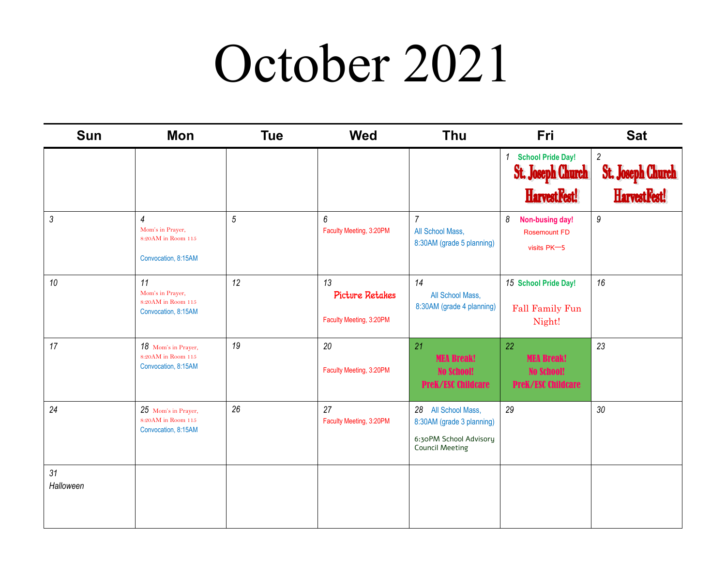#### October 2021

| <b>Sun</b>      | Mon                                                                             | <b>Tue</b>     | <b>Wed</b>                                       | <b>Thu</b>                                                                                           | Fri                                                                       | <b>Sat</b>                                                 |
|-----------------|---------------------------------------------------------------------------------|----------------|--------------------------------------------------|------------------------------------------------------------------------------------------------------|---------------------------------------------------------------------------|------------------------------------------------------------|
|                 |                                                                                 |                |                                                  |                                                                                                      | 1 School Pride Day!<br><b>St. Joseph Church</b><br>HarvestFest!           | $\overline{c}$<br><b>St. Joseph Church</b><br>HarvestFest! |
| $\mathfrak{Z}$  | $\overline{4}$<br>Mom's in Prayer,<br>8:20AM in Room 115<br>Convocation, 8:15AM | $\overline{5}$ | 6<br>Faculty Meeting, 3:20PM                     | $\overline{7}$<br>All School Mass,<br>8:30AM (grade 5 planning)                                      | 8<br>Non-busing day!<br><b>Rosemount FD</b><br>visits PK-5                | 9                                                          |
| 10              | 11<br>Mom's in Prayer,<br>8:20AM in Room 115<br>Convocation, 8:15AM             | 12             | 13<br>Picture Retakes<br>Faculty Meeting, 3:20PM | 14<br>All School Mass,<br>8:30AM (grade 4 planning)                                                  | 15 School Pride Day!<br>Fall Family Fun<br>Night!                         | 16                                                         |
| 17              | 18 Mom's in Prayer,<br>$8:20AM$ in Room $115$<br>Convocation, 8:15AM            | 19             | 20<br>Faculty Meeting, 3:20PM                    | 21<br><b>MEA Break!</b><br><b>No School!</b><br><b>PreK/ESC Childcare</b>                            | 22<br><b>MEA Break!</b><br><b>No School!</b><br><b>PreK/ESC Childcare</b> | 23                                                         |
| 24              | 25 Mom's in Prayer,<br>$8:20AM$ in Room $115$<br>Convocation, 8:15AM            | 26             | 27<br>Faculty Meeting, 3:20PM                    | 28 All School Mass,<br>8:30AM (grade 3 planning)<br>6:30PM School Advisory<br><b>Council Meeting</b> | 29                                                                        | $30\,$                                                     |
| 31<br>Halloween |                                                                                 |                |                                                  |                                                                                                      |                                                                           |                                                            |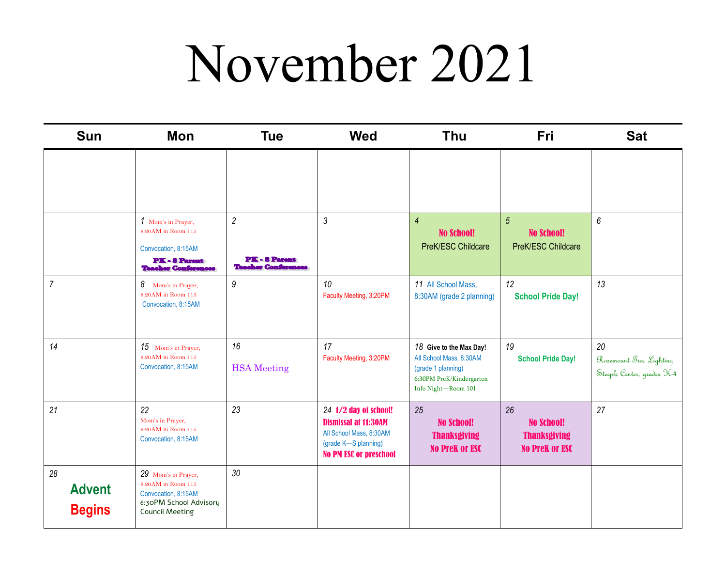### November 2021

| <b>Sun</b>                           | Mon                                                                                                                  | <b>Tue</b>                                                       | <b>Wed</b>                                                                                                                               | <b>Thu</b>                                                                                                                  | <b>Fri</b>                                                              | <b>Sat</b>                                                  |
|--------------------------------------|----------------------------------------------------------------------------------------------------------------------|------------------------------------------------------------------|------------------------------------------------------------------------------------------------------------------------------------------|-----------------------------------------------------------------------------------------------------------------------------|-------------------------------------------------------------------------|-------------------------------------------------------------|
|                                      |                                                                                                                      |                                                                  |                                                                                                                                          |                                                                                                                             |                                                                         |                                                             |
|                                      | 1 Mom's in Prayer,<br>8:20AM in Room 115<br>Convocation, 8:15AM<br>PK-8 Parent<br><b>Thacher Conferences</b>         | $\overline{c}$<br><b>PK-8 Parent</b><br><b>Theoher Conferent</b> | $\mathfrak{Z}$                                                                                                                           | $\overline{4}$<br><b>No School!</b><br>PreK/ESC Childcare                                                                   | $\sqrt{5}$<br><b>No School!</b><br>PreK/ESC Childcare                   | 6                                                           |
| $\overline{7}$                       | 8 Mom's in Prayer,<br>8:20AM in Room 115<br>Convocation, 8:15AM                                                      | $\boldsymbol{9}$                                                 | 10<br>Faculty Meeting, 3:20PM                                                                                                            | 11 All School Mass,<br>8:30AM (grade 2 planning)                                                                            | 12<br><b>School Pride Day!</b>                                          | 13                                                          |
| 14                                   | 15 Mom's in Prayer,<br>8:20AM in Room 115<br>Convocation, 8:15AM                                                     | 16<br><b>HSA</b> Meeting                                         | 17<br>Faculty Meeting, 3:20PM                                                                                                            | 18 Give to the Max Day!<br>All School Mass, 8:30AM<br>(grade 1 planning)<br>6:30PM PreK/Kindergarten<br>Info Night-Room 101 | 19<br><b>School Pride Day!</b>                                          | 20<br>Rosemount Tree Lighting<br>Steeple Center, grades K-4 |
| 21                                   | 22<br>Mom's in Prayer,<br>8:20AM in Room 115<br>Convocation, 8:15AM                                                  | 23                                                               | 24 1/2 day of school!<br><b>Dismissal at 11:30AM</b><br>All School Mass, 8:30AM<br>(grade K-S planning)<br><b>No PM ESC or preschool</b> | 25<br><b>No School!</b><br><b>Thanksgiving</b><br><b>No Prek or ESC</b>                                                     | 26<br><b>No School!</b><br><b>Thanksgiving</b><br><b>No PreK or ESC</b> | 27                                                          |
| 28<br><b>Advent</b><br><b>Begins</b> | 29 Mom's in Prayer,<br>8:20AM in Room 115<br>Convocation, 8:15AM<br>6:30PM School Advisory<br><b>Council Meeting</b> | $30\,$                                                           |                                                                                                                                          |                                                                                                                             |                                                                         |                                                             |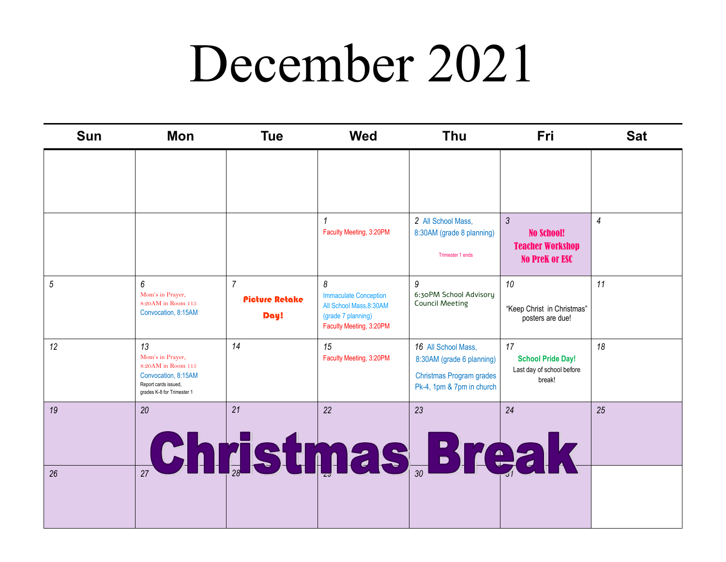#### December 2021

| <b>Sun</b> | Mon                                                                                                                       | <b>Tue</b>                                      | <b>Wed</b>                                                                                                   | <b>Thu</b>                                                                                                | Fri                                                                                     | <b>Sat</b>     |
|------------|---------------------------------------------------------------------------------------------------------------------------|-------------------------------------------------|--------------------------------------------------------------------------------------------------------------|-----------------------------------------------------------------------------------------------------------|-----------------------------------------------------------------------------------------|----------------|
|            |                                                                                                                           |                                                 |                                                                                                              |                                                                                                           |                                                                                         |                |
|            |                                                                                                                           |                                                 | Faculty Meeting, 3:20PM                                                                                      | 2 All School Mass,<br>8:30AM (grade 8 planning)<br>Trimester 1 ends                                       | $\mathfrak{Z}$<br><b>No School!</b><br><b>Teacher Workshop</b><br><b>No PreK or ESC</b> | $\overline{4}$ |
| 5          | 6<br>Mom's in Prayer,<br>8:20AM in Room 115<br>Convocation, 8:15AM                                                        | $\overline{7}$<br><b>Picture Retake</b><br>Day! | 8<br><b>Immaculate Conception</b><br>All School Mass.8:30AM<br>(grade 7 planning)<br>Faculty Meeting, 3:20PM | 9<br>6:30PM School Advisory<br><b>Council Meeting</b>                                                     | 10<br>"Keep Christ in Christmas"<br>posters are due!                                    | 11             |
| 12         | 13<br>Mom's in Prayer,<br>8:20AM in Room 115<br>Convocation, 8:15AM<br>Report cards issued,<br>grades K-8 for Trimester 1 | 14                                              | 15<br>Faculty Meeting, 3:20PM                                                                                | 16 All School Mass.<br>8:30AM (grade 6 planning)<br>Christmas Program grades<br>Pk-4, 1pm & 7pm in church | 17<br><b>School Pride Day!</b><br>Last day of school before<br>break!                   | 18             |
| 19         | 20                                                                                                                        | 21                                              | 22                                                                                                           | 23<br><b>Christmas Break</b>                                                                              | 24                                                                                      | 25             |
| 26         |                                                                                                                           |                                                 |                                                                                                              |                                                                                                           |                                                                                         |                |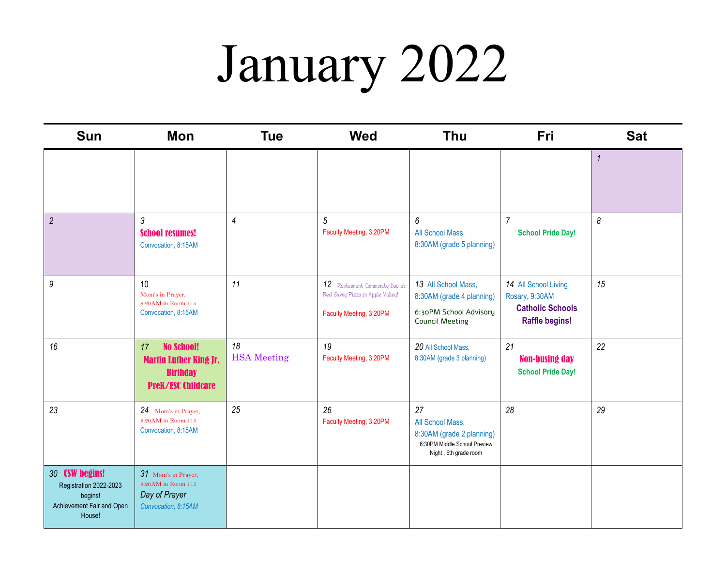# January 2022

| <b>Sun</b>                                                                                 | Mon                                                                                                      | <b>Tue</b>               | <b>Wed</b>                                                                                    | <b>Thu</b>                                                                                                   | <b>Fri</b>                                                                                 | <b>Sat</b>   |
|--------------------------------------------------------------------------------------------|----------------------------------------------------------------------------------------------------------|--------------------------|-----------------------------------------------------------------------------------------------|--------------------------------------------------------------------------------------------------------------|--------------------------------------------------------------------------------------------|--------------|
|                                                                                            |                                                                                                          |                          |                                                                                               |                                                                                                              |                                                                                            | $\mathbf{1}$ |
| $\overline{2}$                                                                             | 3<br><b>School resumes!</b><br>Convocation, 8:15AM                                                       | $\overline{4}$           | 5<br>Faculty Meeting, 3:20PM                                                                  | 6<br>All School Mass,<br>8:30AM (grade 5 planning)                                                           | $\overline{7}$<br><b>School Pride Day!</b>                                                 | 8            |
| $\boldsymbol{9}$                                                                           | 10<br>Mom's in Prayer,<br>8:20AM in Room 115<br>Convocation, 8:15AM                                      | 11                       | 12 Restaurant Community Day at<br>Red Savoy Pizza in Apple Valley!<br>Faculty Meeting, 3:20PM | 13 All School Mass,<br>8:30AM (grade 4 planning)<br>6:30PM School Advisory<br><b>Council Meeting</b>         | 14 All School Living<br>Rosary, 9:30AM<br><b>Catholic Schools</b><br><b>Raffle begins!</b> | 15           |
| 16                                                                                         | <b>No School!</b><br>17<br><b>Martin Luther King Jr.</b><br><b>Birthday</b><br><b>PreK/ESC Childcare</b> | 18<br><b>HSA</b> Meeting | 19<br>Faculty Meeting, 3:20PM                                                                 | 20 All School Mass.<br>8:30AM (grade 3 planning)                                                             | 21<br><b>Non-busing day</b><br><b>School Pride Day!</b>                                    | 22           |
| 23                                                                                         | 24 Mom's in Prayer,<br>8:20AM in Room 115<br>Convocation, 8:15AM                                         | 25                       | 26<br>Faculty Meeting, 3:20PM                                                                 | 27<br>All School Mass,<br>8:30AM (grade 2 planning)<br>6:30PM Middle School Preview<br>Night, 6th grade room | 28                                                                                         | 29           |
| 30 CSW begins!<br>Registration 2022-2023<br>begins!<br>Achievement Fair and Open<br>House! | 31 Mom's in Prayer,<br>8:20AM in Room 115<br>Day of Prayer<br>Convocation, 8:15AM                        |                          |                                                                                               |                                                                                                              |                                                                                            |              |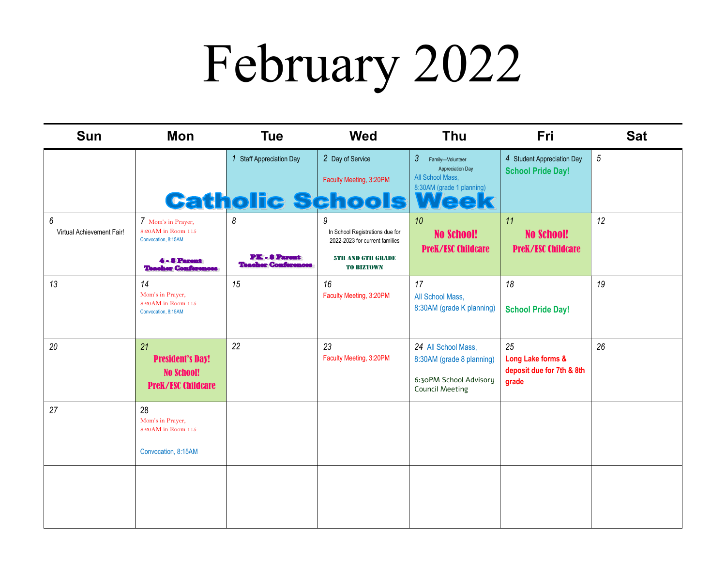# February 2022

| <b>Sun</b>                                    | Mon                                                                                                           | <b>Tue</b>                                            | <b>Wed</b>                                                                                                              | <b>Thu</b>                                                                                                                    | <b>Fri</b>                                                    | <b>Sat</b> |
|-----------------------------------------------|---------------------------------------------------------------------------------------------------------------|-------------------------------------------------------|-------------------------------------------------------------------------------------------------------------------------|-------------------------------------------------------------------------------------------------------------------------------|---------------------------------------------------------------|------------|
|                                               |                                                                                                               | 1 Staff Appreciation Day                              | 2 Day of Service<br>Faculty Meeting, 3:20PM<br><b>Catholic Schools</b>                                                  | $\mathfrak{Z}$<br>Family-Volunteer<br><b>Appreciation Day</b><br>All School Mass,<br>8:30AM (grade 1 planning)<br><b>Week</b> | 4 Student Appreciation Day<br><b>School Pride Day!</b>        | $\sqrt{5}$ |
| $\boldsymbol{6}$<br>Virtual Achievement Fair! | 7 Mom's in Prayer,<br>8:20AM in Room 115<br>Convocation, 8:15AM<br>4 - 8 Parent<br><b>Teacher Conferences</b> | 8<br><b>PK-8 Parent</b><br><b>Teacher Conferences</b> | 9<br>In School Registrations due for<br>2022-2023 for current families<br><b>5TH AND GTH GRADE</b><br><b>TO BIZTOWN</b> | 10<br><b>No School!</b><br><b>PreK/ESC Childcare</b>                                                                          | 11<br><b>No School!</b><br><b>PreK/ESC Childcare</b>          | 12         |
| 13                                            | 14<br>Mom's in Prayer,<br>8:20AM in Room 115<br>Convocation, 8:15AM                                           | 15                                                    | 16<br>Faculty Meeting, 3:20PM                                                                                           | 17<br>All School Mass,<br>8:30AM (grade K planning)                                                                           | 18<br><b>School Pride Day!</b>                                | 19         |
| 20                                            | 21<br><b>President's Day!</b><br><b>No School!</b><br><b>PreK/ESC Childcare</b>                               | 22                                                    | 23<br>Faculty Meeting, 3:20PM                                                                                           | 24 All School Mass,<br>8:30AM (grade 8 planning)<br>6:30PM School Advisory<br><b>Council Meeting</b>                          | 25<br>Long Lake forms &<br>deposit due for 7th & 8th<br>grade | 26         |
| 27                                            | 28<br>Mom's in Prayer,<br>8:20AM in Room 115<br>Convocation, 8:15AM                                           |                                                       |                                                                                                                         |                                                                                                                               |                                                               |            |
|                                               |                                                                                                               |                                                       |                                                                                                                         |                                                                                                                               |                                                               |            |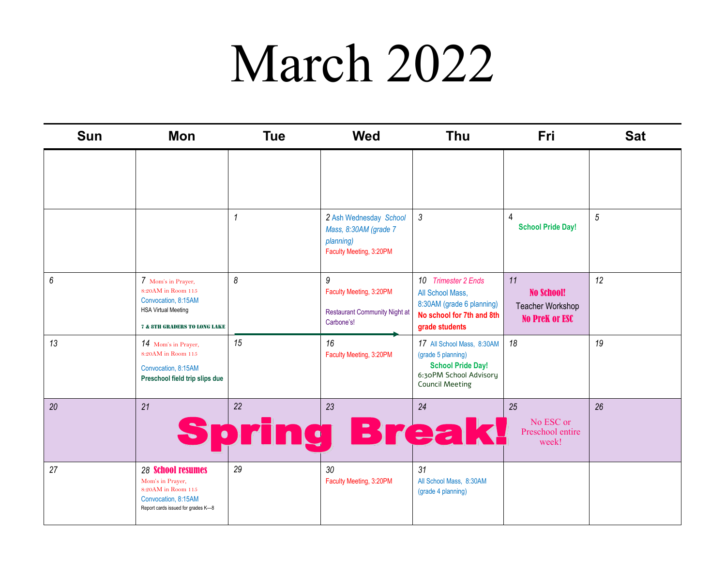### March 2022

| <b>Sun</b> | <b>Mon</b>                                                                                                                                            | <b>Tue</b> | <b>Wed</b>                                                                                      | <b>Thu</b>                                                                                                                       | <b>Fri</b>                                                           | <b>Sat</b>     |
|------------|-------------------------------------------------------------------------------------------------------------------------------------------------------|------------|-------------------------------------------------------------------------------------------------|----------------------------------------------------------------------------------------------------------------------------------|----------------------------------------------------------------------|----------------|
|            |                                                                                                                                                       |            |                                                                                                 |                                                                                                                                  |                                                                      |                |
|            |                                                                                                                                                       |            | 2 Ash Wednesday School<br>Mass, 8:30AM (grade 7<br>planning)<br>Faculty Meeting, 3:20PM         | 3                                                                                                                                | $\overline{4}$<br><b>School Pride Day!</b>                           | $\overline{5}$ |
| 6          | 7 Mom's in Prayer,<br>$8:20\mathrm{AM}$ in Room $115$<br>Convocation, 8:15AM<br><b>HSA Virtual Meeting</b><br><b>7 &amp; 8TH GRADERS TO LONG LAKE</b> | 8          | $\overline{9}$<br>Faculty Meeting, 3:20PM<br><b>Restaurant Community Night at</b><br>Carbone's! | 10 Trimester 2 Ends<br>All School Mass,<br>8:30AM (grade 6 planning)<br>No school for 7th and 8th<br>grade students              | 11<br><b>No School!</b><br>Teacher Workshop<br><b>No PreK or ESC</b> | 12             |
| 13         | 14 Mom's in Prayer,<br>8:20AM in Room 115<br>Convocation, 8:15AM<br>Preschool field trip slips due                                                    | 15         | 16<br>Faculty Meeting, 3:20PM                                                                   | 17 All School Mass, 8:30AM<br>(grade 5 planning)<br><b>School Pride Day!</b><br>6:30PM School Advisory<br><b>Council Meeting</b> | 18                                                                   | 19             |
| 20         | 21                                                                                                                                                    | 22<br>ne   | 23<br>Brea                                                                                      | 24                                                                                                                               | 25<br>No ESC or<br>Preschool entire<br>week!                         | 26             |
| 27         | <b>28 School resumes</b><br>Mom's in Prayer,<br>8:20AM in Room 115<br>Convocation, 8:15AM<br>Report cards issued for grades K-8                       | 29         | 30<br>Faculty Meeting, 3:20PM                                                                   | 31<br>All School Mass, 8:30AM<br>(grade 4 planning)                                                                              |                                                                      |                |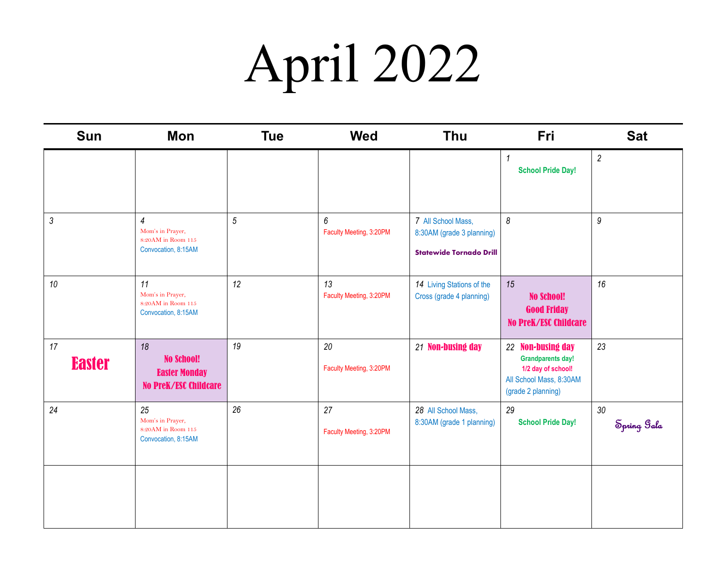# April 2022

| <b>Sun</b>          | Mon                                                                             | <b>Tue</b>     | <b>Wed</b>                    | <b>Thu</b>                                                                        | Fri                                                                                                                  | <b>Sat</b>            |
|---------------------|---------------------------------------------------------------------------------|----------------|-------------------------------|-----------------------------------------------------------------------------------|----------------------------------------------------------------------------------------------------------------------|-----------------------|
|                     |                                                                                 |                |                               |                                                                                   | $\mathbf{1}$<br><b>School Pride Day!</b>                                                                             | $\overline{2}$        |
| $\mathfrak{Z}$      | $\overline{4}$<br>Mom's in Prayer,<br>8:20AM in Room 115<br>Convocation, 8:15AM | $\overline{5}$ | 6<br>Faculty Meeting, 3:20PM  | 7 All School Mass,<br>8:30AM (grade 3 planning)<br><b>Statewide Tornado Drill</b> | $\boldsymbol{\delta}$                                                                                                | $\boldsymbol{9}$      |
| 10                  | 11<br>Mom's in Prayer,<br>$8:20AM$ in Room $115$<br>Convocation, 8:15AM         | 12             | 13<br>Faculty Meeting, 3:20PM | 14 Living Stations of the<br>Cross (grade 4 planning)                             | 15<br><b>No School!</b><br><b>Good Friday</b><br><b>No PreK/ESC Childcare</b>                                        | 16                    |
| 17<br><b>Easter</b> | 18<br><b>No School!</b><br><b>Easter Monday</b><br><b>No PreK/ESC Childcare</b> | 19             | 20<br>Faculty Meeting, 3:20PM | 21 Non-busing day                                                                 | 22 Non-busing day<br><b>Grandparents day!</b><br>1/2 day of school!<br>All School Mass, 8:30AM<br>(grade 2 planning) | 23                    |
| 24                  | 25<br>Mom's in Prayer,<br>8:20AM in Room 115<br>Convocation, 8:15AM             | 26             | 27<br>Faculty Meeting, 3:20PM | 28 All School Mass,<br>8:30AM (grade 1 planning)                                  | 29<br><b>School Pride Day!</b>                                                                                       | $30\,$<br>Spring Sala |
|                     |                                                                                 |                |                               |                                                                                   |                                                                                                                      |                       |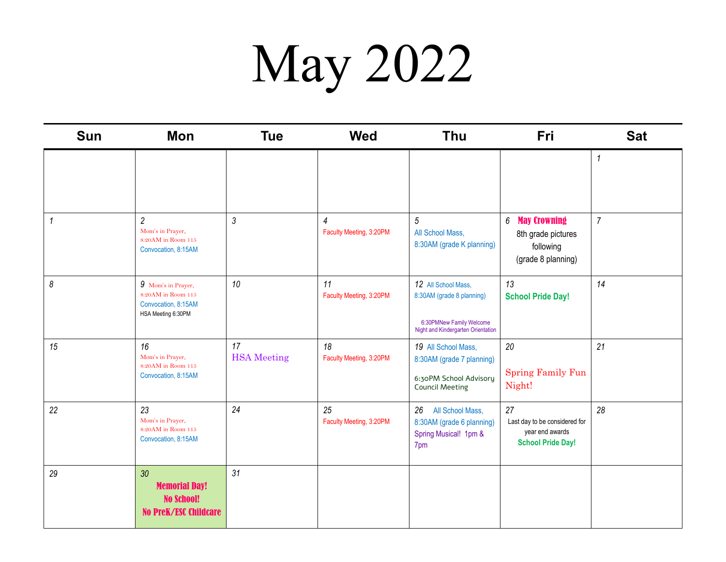### May 2022

| Sun                   | Mon                                                                                          | <b>Tue</b>               | <b>Wed</b>                    | <b>Thu</b>                                                                                                         | Fri                                                                                | <b>Sat</b>     |
|-----------------------|----------------------------------------------------------------------------------------------|--------------------------|-------------------------------|--------------------------------------------------------------------------------------------------------------------|------------------------------------------------------------------------------------|----------------|
|                       |                                                                                              |                          |                               |                                                                                                                    |                                                                                    | 1              |
| $\mathcal I$          | $\overline{2}$<br>Mom's in Prayer,<br>8:20AM in Room 115<br>Convocation, 8:15AM              | 3                        | 4<br>Faculty Meeting, 3:20PM  | $5\,$<br>All School Mass,<br>8:30AM (grade K planning)                                                             | 6 May Crowning<br>8th grade pictures<br>following<br>(grade 8 planning)            | $\overline{7}$ |
| $\boldsymbol{\delta}$ | 9 Mom's in Prayer,<br>8:20AM in Room 115<br>Convocation, 8:15AM<br>HSA Meeting 6:30PM        | 10                       | 11<br>Faculty Meeting, 3:20PM | 12 All School Mass,<br>8:30AM (grade 8 planning)<br>6:30PMNew Family Welcome<br>Night and Kindergarten Orientation | 13<br><b>School Pride Day!</b>                                                     | 14             |
| 15                    | 16<br>Mom's in Prayer,<br>$8:20\mathrm{AM}$ in Room $115$<br>Convocation, 8:15AM             | 17<br><b>HSA</b> Meeting | 18<br>Faculty Meeting, 3:20PM | 19 All School Mass,<br>8:30AM (grade 7 planning)<br>6:30PM School Advisory<br><b>Council Meeting</b>               | 20<br><b>Spring Family Fun</b><br>Night!                                           | 21             |
| 22                    | 23<br>Mom's in Prayer,<br>8:20AM in Room 115<br>Convocation, 8:15AM                          | 24                       | 25<br>Faculty Meeting, 3:20PM | 26<br>All School Mass,<br>8:30AM (grade 6 planning)<br>Spring Musical! 1pm &<br>7pm                                | 27<br>Last day to be considered for<br>year end awards<br><b>School Pride Day!</b> | 28             |
| 29                    | 30 <sup>°</sup><br><b>Memorial Day!</b><br><b>No School!</b><br><b>No PreK/ESC Childcare</b> | 31                       |                               |                                                                                                                    |                                                                                    |                |